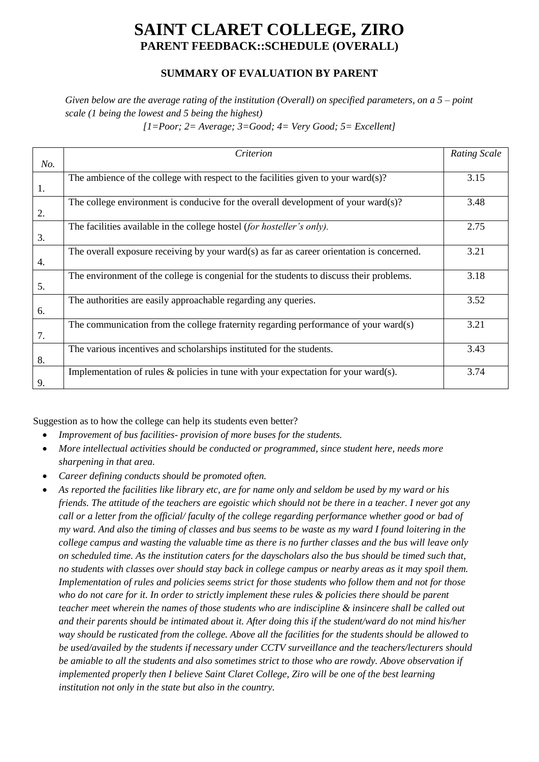## **SAINT CLARET COLLEGE, ZIRO PARENT FEEDBACK::SCHEDULE (OVERALL)**

## **SUMMARY OF EVALUATION BY PARENT**

## *Given below are the average rating of the institution (Overall) on specified parameters, on a 5 – point scale (1 being the lowest and 5 being the highest)*

| $[1 = Poor; 2 = Average; 3 = Good; 4 = Very Good; 5 = Excellent]$ |  |  |  |
|-------------------------------------------------------------------|--|--|--|
|-------------------------------------------------------------------|--|--|--|

|     | Criterion                                                                                 | <b>Rating Scale</b> |
|-----|-------------------------------------------------------------------------------------------|---------------------|
| No. |                                                                                           |                     |
|     | The ambience of the college with respect to the facilities given to your ward(s)?         | 3.15                |
| 1.  |                                                                                           |                     |
|     | The college environment is conducive for the overall development of your ward $(s)$ ?     | 3.48                |
| 2.  |                                                                                           |                     |
|     | The facilities available in the college hostel (for hosteller's only).                    | 2.75                |
| 3.  |                                                                                           |                     |
|     | The overall exposure receiving by your ward(s) as far as career orientation is concerned. | 3.21                |
| 4.  |                                                                                           |                     |
|     | The environment of the college is congenial for the students to discuss their problems.   | 3.18                |
| 5.  |                                                                                           |                     |
|     | The authorities are easily approachable regarding any queries.                            | 3.52                |
| 6.  |                                                                                           |                     |
|     | The communication from the college fraternity regarding performance of your ward(s)       | 3.21                |
| 7.  |                                                                                           |                     |
|     | The various incentives and scholarships instituted for the students.                      | 3.43                |
| 8.  |                                                                                           |                     |
|     | Implementation of rules $\&$ policies in tune with your expectation for your ward(s).     | 3.74                |
| 9.  |                                                                                           |                     |

Suggestion as to how the college can help its students even better?

- *Improvement of bus facilities- provision of more buses for the students.*
- *More intellectual activities should be conducted or programmed, since student here, needs more sharpening in that area.*
- *Career defining conducts should be promoted often.*
- *As reported the facilities like library etc, are for name only and seldom be used by my ward or his friends. The attitude of the teachers are egoistic which should not be there in a teacher. I never got any call or a letter from the official/ faculty of the college regarding performance whether good or bad of my ward. And also the timing of classes and bus seems to be waste as my ward I found loitering in the college campus and wasting the valuable time as there is no further classes and the bus will leave only on scheduled time. As the institution caters for the dayscholars also the bus should be timed such that, no students with classes over should stay back in college campus or nearby areas as it may spoil them. Implementation of rules and policies seems strict for those students who follow them and not for those who do not care for it. In order to strictly implement these rules & policies there should be parent teacher meet wherein the names of those students who are indiscipline & insincere shall be called out and their parents should be intimated about it. After doing this if the student/ward do not mind his/her way should be rusticated from the college. Above all the facilities for the students should be allowed to be used/availed by the students if necessary under CCTV surveillance and the teachers/lecturers should be amiable to all the students and also sometimes strict to those who are rowdy. Above observation if implemented properly then I believe Saint Claret College, Ziro will be one of the best learning institution not only in the state but also in the country.*